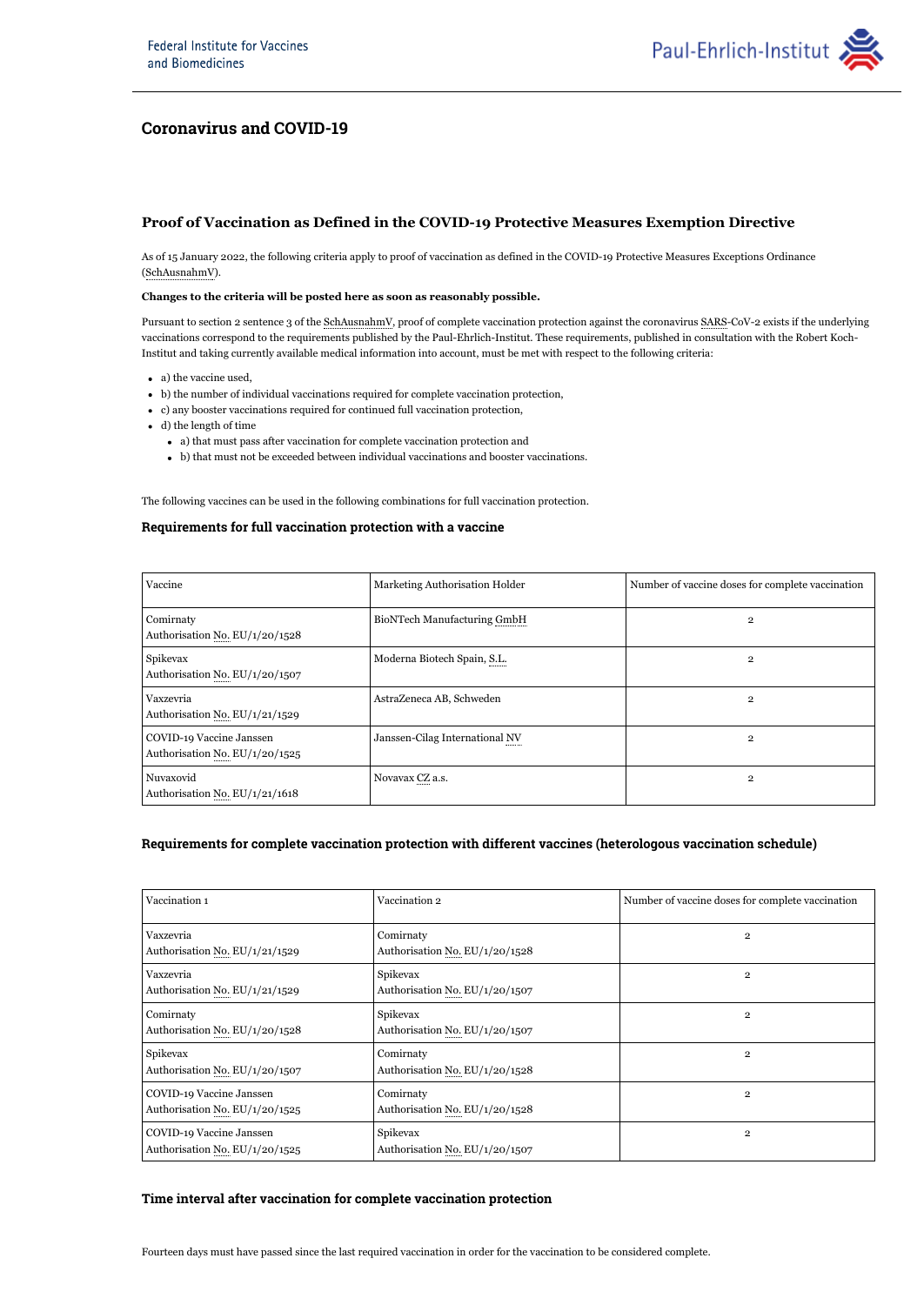

# **Coronavirus and COVID-19**

## **Proof of Vaccination as Defined in the COVID-19 Protective Measures Exemption Directive**

As of 15 January 2022, the following criteria apply to proof of vaccination as defined in the COVID-19 Protective Measures Exceptions Ordinance (SchAusnahmV).

### **Changes to the criteria will be posted here as soon as reasonably possible.**

Pursuant to section 2 sentence 3 of the SchAusnahmV, proof of complete vaccination protection against the coronavirus SARS-CoV-2 exists if the underlying vaccinations correspond to the requirements published by the Paul-Ehrlich-Institut. These requirements, published in consultation with the Robert Koch-Institut and taking currently available medical information into account, must be met with respect to the following criteria:

- a) the vaccine used,
- b) the number of individual vaccinations required for complete vaccination protection,
- c) any booster vaccinations required for continued full vaccination protection,
- d) the length of time
	- a) that must pass after vaccination for complete vaccination protection and
	- b) that must not be exceeded between individual vaccinations and booster vaccinations.

The following vaccines can be used in the following combinations for full vaccination protection.

## **Requirements for full vaccination protection with a vaccine**

| Vaccine                                                    | Marketing Authorisation Holder     | Number of vaccine doses for complete vaccination |
|------------------------------------------------------------|------------------------------------|--------------------------------------------------|
| Comirnaty<br>Authorisation No. EU/1/20/1528                | <b>BioNTech Manufacturing GmbH</b> | $\overline{2}$                                   |
| Spikevax<br>Authorisation No. EU/1/20/1507                 | Moderna Biotech Spain, S.L.        | $\overline{2}$                                   |
| Vaxzevria<br>Authorisation No. EU/1/21/1529                | AstraZeneca AB, Schweden           | $\overline{2}$                                   |
| COVID-19 Vaccine Janssen<br>Authorisation No. EU/1/20/1525 | Janssen-Cilag International NV     | $\overline{2}$                                   |
| Nuvaxovid<br>Authorisation No. EU/1/21/1618                | Novavax CZ a.s.                    | $\overline{2}$                                   |

## **Requirements for complete vaccination protection with different vaccines (heterologous vaccination schedule)**

| Vaccination 1                                              | Vaccination 2                               | Number of vaccine doses for complete vaccination |
|------------------------------------------------------------|---------------------------------------------|--------------------------------------------------|
| Vaxzevria<br>Authorisation No. EU/1/21/1529                | Comirnaty<br>Authorisation No. EU/1/20/1528 | $\mathbf{2}$                                     |
| Vaxzevria<br>Authorisation No. EU/1/21/1529                | Spikevax<br>Authorisation No. EU/1/20/1507  | $\mathbf{2}$                                     |
| Comirnaty<br>Authorisation No. EU/1/20/1528                | Spikevax<br>Authorisation No. EU/1/20/1507  | $\mathbf{2}$                                     |
| Spikevax<br>Authorisation No. EU/1/20/1507                 | Comirnaty<br>Authorisation No. EU/1/20/1528 | $\overline{2}$                                   |
| COVID-19 Vaccine Janssen<br>Authorisation No. EU/1/20/1525 | Comirnaty<br>Authorisation No. EU/1/20/1528 | $\overline{2}$                                   |
| COVID-19 Vaccine Janssen<br>Authorisation No. EU/1/20/1525 | Spikevax<br>Authorisation No. EU/1/20/1507  | $\overline{2}$                                   |

## **Time interval after vaccination for complete vaccination protection**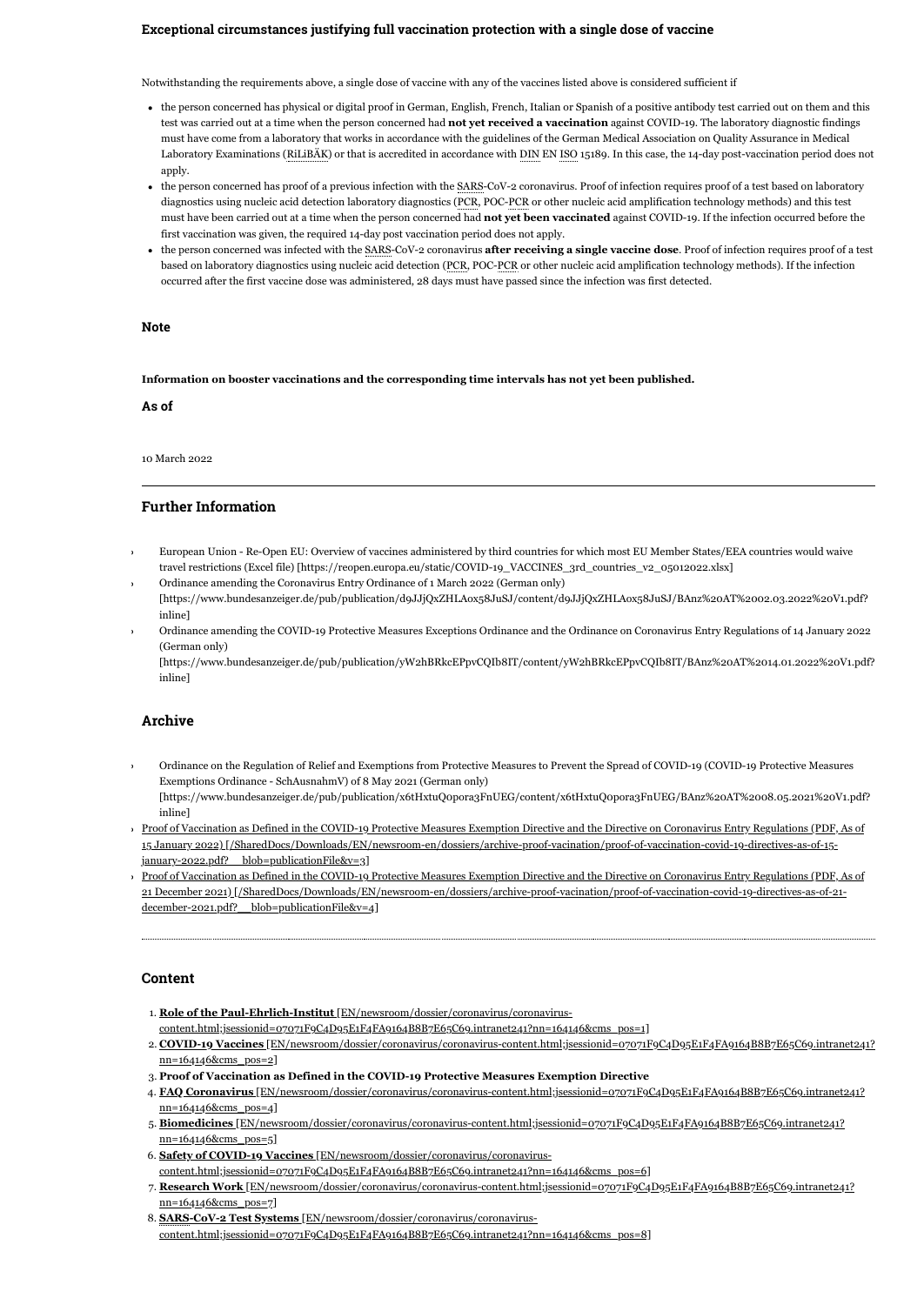#### **Exceptional circumstances justifying full vaccination protection with a single dose of vaccine**

Notwithstanding the requirements above, a single dose of vaccine with any of the vaccines listed above is considered sufficient if

- the person concerned has physical or digital proof in German, English, French, Italian or Spanish of a positive antibody test carried out on them and this test was carried out at a time when the person concerned had **not yet received a vaccination** against COVID-19. The laboratory diagnostic findings must have come from a laboratory that works in accordance with the guidelines of the German Medical Association on Quality Assurance in Medical Laboratory Examinations (RiLiBAK) or that is accredited in accordance with DIN EN ISO 15189. In this case, the 14-day post-vaccination period does not apply.
- the person concerned has proof of a previous infection with the SARS-CoV-2 coronavirus. Proof of infection requires proof of a test based on laboratory diagnostics using nucleic acid detection laboratory diagnostics (PCR, POC-PCR or other nucleic acid amplification technology methods) and this test must have been carried out at a time when the person concerned had **not yet been vaccinated** against COVID-19. If the infection occurred before the first vaccination was given, the required 14-day post vaccination period does not apply.
- the person concerned was infected with the SARS-CoV-2 coronavirus **after receiving a single vaccine dose**. Proof of infection requires proof of a test based on laboratory diagnostics using nucleic acid detection (PCR, POC-PCR or other nucleic acid amplification technology methods). If the infection occurred after the first vaccine dose was administered, 28 days must have passed since the infection was first detected.

#### **Note**

**Information on booster vaccinations and the corresponding time intervals has not yet been published.**

**As of**

10 March 2022

#### **Further Information**

- [European Union Re-Open EU: Overview of vaccines administered by third countries for which most EU Member States/EEA countries would waive](https://reopen.europa.eu/static/COVID-19_VACCINES_3rd_countries_v2_05012022.xlsx) travel restrictions (Excel file) [https://reopen.europa.eu/static/COVID-19\_VACCINES\_3rd\_countries\_v2\_05012022.xlsx]
- Ordinance amending the Coronavirus Entry Ordinance of 1 March 2022 (German only) [\[https://www.bundesanzeiger.de/pub/publication/d9JJjQxZHLAox58JuSJ/content/d9JJjQxZHLAox58JuSJ/BAnz%20AT%2002.03.2022%20V1.pdf?](https://www.bundesanzeiger.de/pub/publication/d9JJjQxZHLAox58JuSJ/content/d9JJjQxZHLAox58JuSJ/BAnz%20AT%2002.03.2022%20V1.pdf?inline) inline]
- Ordinance amending the COVID-19 Protective Measures Exceptions Ordinance and the Ordinance on Coronavirus Entry Regulations of 14 January 2022 (German only)

[\[https://www.bundesanzeiger.de/pub/publication/yW2hBRkcEPpvCQIb8IT/content/yW2hBRkcEPpvCQIb8IT/BAnz%20AT%2014.01.2022%20V1.pdf?](https://www.bundesanzeiger.de/pub/publication/yW2hBRkcEPpvCQIb8IT/content/yW2hBRkcEPpvCQIb8IT/BAnz%20AT%2014.01.2022%20V1.pdf?inline) inline]

#### **Archive**

Ordinance on the Regulation of Relief and Exemptions from Protective Measures to Prevent the Spread of COVID-19 (COVID-19 Protective Measures Exemptions Ordinance - SchAusnahmV) of 8 May 2021 (German only)

[\[https://www.bundesanzeiger.de/pub/publication/x6tHxtuQ0pora3FnUEG/content/x6tHxtuQ0pora3FnUEG/BAnz%20AT%2008.05.2021%20V1.pdf?](https://www.bundesanzeiger.de/pub/publication/x6tHxtuQ0pora3FnUEG/content/x6tHxtuQ0pora3FnUEG/BAnz%20AT%2008.05.2021%20V1.pdf?inline) inline]

[Proof of Vaccination as Defined in the COVID-19 Protective Measures Exemption Directive and the Directive on Coronavirus Entry Regulations \(PDF, As of](https://www.pei.de/SharedDocs/Downloads/EN/newsroom-en/dossiers/archive-proof-vacination/proof-of-vaccination-covid-19-directives-as-of-15-january-2022.pdf?__blob=publicationFile&v=3) 15 January 2022) [/SharedDocs/Downloads/EN/newsroom-en/dossiers/archive-proof-vacination/proof-of-vaccination-covid-19-directives-as-of-15 january-2022.pdf?\_\_blob=publicationFile&v=3]

[Proof of Vaccination as Defined in the COVID-19 Protective Measures Exemption Directive and the Directive on Coronavirus Entry Regulations \(PDF, As of](https://www.pei.de/SharedDocs/Downloads/EN/newsroom-en/dossiers/archive-proof-vacination/proof-of-vaccination-covid-19-directives-as-of-21-december-2021.pdf?__blob=publicationFile&v=4) 21 December 2021) [/SharedDocs/Downloads/EN/newsroom-en/dossiers/archive-proof-vacination/proof-of-vaccination-covid-19-directives-as-of-21 december-2021.pdf? blob=publicationFile&v=4]

#### **Content**

1. **Role of the Paul-Ehrlich-Institut** [EN/newsroom/dossier/coronavirus/coronavirus-

[content.html;jsessionid=07071F9C4D95E1F4FA9164B8B7E65C69.intranet241?nn=164146&cms\\_pos=1\]](https://www.pei.de/EN/newsroom/dossier/coronavirus/coronavirus-content.html;jsessionid=07071F9C4D95E1F4FA9164B8B7E65C69.intranet241?nn=164146&cms_pos=1)

- 2. **COVID-19 Vaccines** [\[EN/newsroom/dossier/coronavirus/coronavirus-content.html;jsessionid=07071F9C4D95E1F4FA9164B8B7E65C69.intranet241?](https://www.pei.de/EN/newsroom/dossier/coronavirus/coronavirus-content.html;jsessionid=07071F9C4D95E1F4FA9164B8B7E65C69.intranet241?nn=164146&cms_pos=2) nn=164146&cms\_pos=2]
- 3. **Proof of Vaccination as Defined in the COVID-19 Protective Measures Exemption Directive**
- 4. **FAQ Coronavirus** [\[EN/newsroom/dossier/coronavirus/coronavirus-content.html;jsessionid=07071F9C4D95E1F4FA9164B8B7E65C69.intranet241?](https://www.pei.de/EN/newsroom/dossier/coronavirus/coronavirus-content.html;jsessionid=07071F9C4D95E1F4FA9164B8B7E65C69.intranet241?nn=164146&cms_pos=4) nn=164146&cms\_pos=4]
- 5. **Biomedicines** [\[EN/newsroom/dossier/coronavirus/coronavirus-content.html;jsessionid=07071F9C4D95E1F4FA9164B8B7E65C69.intranet241?](https://www.pei.de/EN/newsroom/dossier/coronavirus/coronavirus-content.html;jsessionid=07071F9C4D95E1F4FA9164B8B7E65C69.intranet241?nn=164146&cms_pos=5) nn=164146&cms\_pos=5]
- 6. **Safety of COVID-19 Vaccines** [EN/newsroom/dossier/coronavirus/coronavirus-
- [content.html;jsessionid=07071F9C4D95E1F4FA9164B8B7E65C69.intranet241?nn=164146&cms\\_pos=6\]](https://www.pei.de/EN/newsroom/dossier/coronavirus/coronavirus-content.html;jsessionid=07071F9C4D95E1F4FA9164B8B7E65C69.intranet241?nn=164146&cms_pos=6) 7. **Research Work** [\[EN/newsroom/dossier/coronavirus/coronavirus-content.html;jsessionid=07071F9C4D95E1F4FA9164B8B7E65C69.intranet241?](https://www.pei.de/EN/newsroom/dossier/coronavirus/coronavirus-content.html;jsessionid=07071F9C4D95E1F4FA9164B8B7E65C69.intranet241?nn=164146&cms_pos=7) nn=164146&cms\_pos=7]
- 8. **SARS-CoV-2 Test Systems** [EN/newsroom/dossier/coronavirus/coronavirus[content.html;jsessionid=07071F9C4D95E1F4FA9164B8B7E65C69.intranet241?nn=164146&cms\\_pos=8\]](https://www.pei.de/EN/newsroom/dossier/coronavirus/coronavirus-content.html;jsessionid=07071F9C4D95E1F4FA9164B8B7E65C69.intranet241?nn=164146&cms_pos=8)